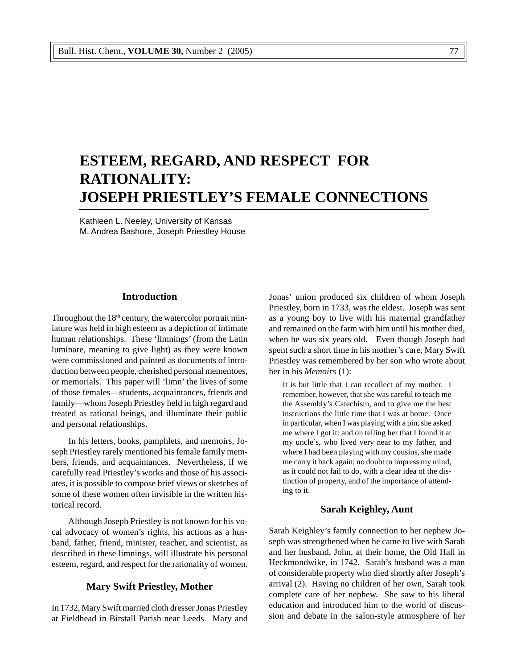# **ESTEEM, REGARD, AND RESPECT FOR RATIONALITY: JOSEPH PRIESTLEY'S FEMALE CONNECTIONS**

Kathleen L. Neeley, University of Kansas M. Andrea Bashore, Joseph Priestley House

## **Introduction**

Throughout the 18<sup>th</sup> century, the watercolor portrait miniature was held in high esteem as a depiction of intimate human relationships. These 'limnings' (from the Latin luminare, meaning to give light) as they were known were commissioned and painted as documents of introduction between people, cherished personal mementoes, or memorials. This paper will 'limn' the lives of some of those females—students, acquaintances, friends and family—whom Joseph Priestley held in high regard and treated as rational beings, and illuminate their public and personal relationships.

In his letters, books, pamphlets, and memoirs, Joseph Priestley rarely mentioned his female family members, friends, and acquaintances. Nevertheless, if we carefully read Priestley's works and those of his associates, it is possible to compose brief views or sketches of some of these women often invisible in the written historical record.

Although Joseph Priestley is not known for his vocal advocacy of women's rights, his actions as a husband, father, friend, minister, teacher, and scientist, as described in these limnings, will illustrate his personal esteem, regard, and respect for the rationality of women.

### **Mary Swift Priestley, Mother**

In 1732, Mary Swift married cloth dresser Jonas Priestley at Fieldhead in Birstall Parish near Leeds. Mary and Jonas' union produced six children of whom Joseph Priestley, born in 1733, was the eldest. Joseph was sent as a young boy to live with his maternal grandfather and remained on the farm with him until his mother died, when he was six years old. Even though Joseph had spent such a short time in his mother's care, Mary Swift Priestley was remembered by her son who wrote about her in his *Memoirs* (1):

It is but little that I can recollect of my mother. I remember, however, that she was careful to teach me the Assembly's Catechism, and to give me the best instructions the little time that I was at home. Once in particular, when I was playing with a pin, she asked me where I got it: and on telling her that I found it at my uncle's, who lived very near to my father, and where I had been playing with my cousins, she made me carry it back again; no doubt to impress my mind, as it could not fail to do, with a clear idea of the distinction of property, and of the importance of attending to it.

## **Sarah Keighley, Aunt**

Sarah Keighley's family connection to her nephew Joseph was strengthened when he came to live with Sarah and her husband, John, at their home, the Old Hall in Heckmondwike, in 1742. Sarah's husband was a man of considerable property who died shortly after Joseph's arrival (2). Having no children of her own, Sarah took complete care of her nephew. She saw to his liberal education and introduced him to the world of discussion and debate in the salon-style atmosphere of her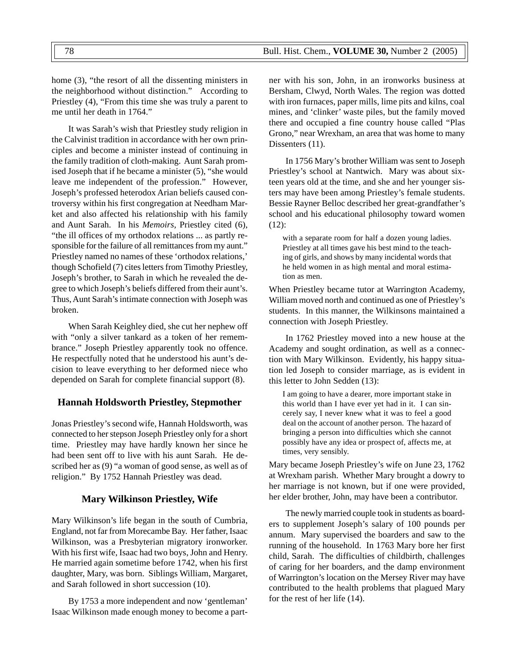home (3), "the resort of all the dissenting ministers in the neighborhood without distinction." According to Priestley (4), "From this time she was truly a parent to me until her death in 1764."

It was Sarah's wish that Priestley study religion in the Calvinist tradition in accordance with her own principles and become a minister instead of continuing in the family tradition of cloth-making. Aunt Sarah promised Joseph that if he became a minister (5), "she would leave me independent of the profession." However, Joseph's professed heterodox Arian beliefs caused controversy within his first congregation at Needham Market and also affected his relationship with his family and Aunt Sarah. In his *Memoirs,* Priestley cited (6), "the ill offices of my orthodox relations ... as partly responsible for the failure of all remittances from my aunt." Priestley named no names of these 'orthodox relations,' though Schofield (7) cites letters from Timothy Priestley, Joseph's brother, to Sarah in which he revealed the degree to which Joseph's beliefs differed from their aunt's. Thus, Aunt Sarah's intimate connection with Joseph was broken.

When Sarah Keighley died, she cut her nephew off with "only a silver tankard as a token of her remembrance." Joseph Priestley apparently took no offence. He respectfully noted that he understood his aunt's decision to leave everything to her deformed niece who depended on Sarah for complete financial support (8).

# **Hannah Holdsworth Priestley, Stepmother**

Jonas Priestley's second wife, Hannah Holdsworth, was connected to her stepson Joseph Priestley only for a short time. Priestley may have hardly known her since he had been sent off to live with his aunt Sarah. He described her as (9) "a woman of good sense, as well as of religion." By 1752 Hannah Priestley was dead.

## **Mary Wilkinson Priestley, Wife**

Mary Wilkinson's life began in the south of Cumbria, England, not far from Morecambe Bay. Her father, Isaac Wilkinson, was a Presbyterian migratory ironworker. With his first wife, Isaac had two boys, John and Henry. He married again sometime before 1742, when his first daughter, Mary, was born. Siblings William, Margaret, and Sarah followed in short succession (10).

By 1753 a more independent and now 'gentleman' Isaac Wilkinson made enough money to become a partner with his son, John, in an ironworks business at Bersham, Clwyd, North Wales. The region was dotted with iron furnaces, paper mills, lime pits and kilns, coal mines, and 'clinker' waste piles, but the family moved there and occupied a fine country house called "Plas Grono," near Wrexham, an area that was home to many Dissenters (11).

In 1756 Mary's brother William was sent to Joseph Priestley's school at Nantwich. Mary was about sixteen years old at the time, and she and her younger sisters may have been among Priestley's female students. Bessie Rayner Belloc described her great-grandfather's school and his educational philosophy toward women (12):

with a separate room for half a dozen young ladies. Priestley at all times gave his best mind to the teaching of girls, and shows by many incidental words that he held women in as high mental and moral estimation as men.

When Priestley became tutor at Warrington Academy, William moved north and continued as one of Priestley's students. In this manner, the Wilkinsons maintained a connection with Joseph Priestley.

In 1762 Priestley moved into a new house at the Academy and sought ordination, as well as a connection with Mary Wilkinson. Evidently, his happy situation led Joseph to consider marriage, as is evident in this letter to John Sedden (13):

I am going to have a dearer, more important stake in this world than I have ever yet had in it. I can sincerely say, I never knew what it was to feel a good deal on the account of another person. The hazard of bringing a person into difficulties which she cannot possibly have any idea or prospect of, affects me, at times, very sensibly.

Mary became Joseph Priestley's wife on June 23, 1762 at Wrexham parish. Whether Mary brought a dowry to her marriage is not known, but if one were provided, her elder brother, John, may have been a contributor.

The newly married couple took in students as boarders to supplement Joseph's salary of 100 pounds per annum. Mary supervised the boarders and saw to the running of the household. In 1763 Mary bore her first child, Sarah. The difficulties of childbirth, challenges of caring for her boarders, and the damp environment of Warrington's location on the Mersey River may have contributed to the health problems that plagued Mary for the rest of her life (14).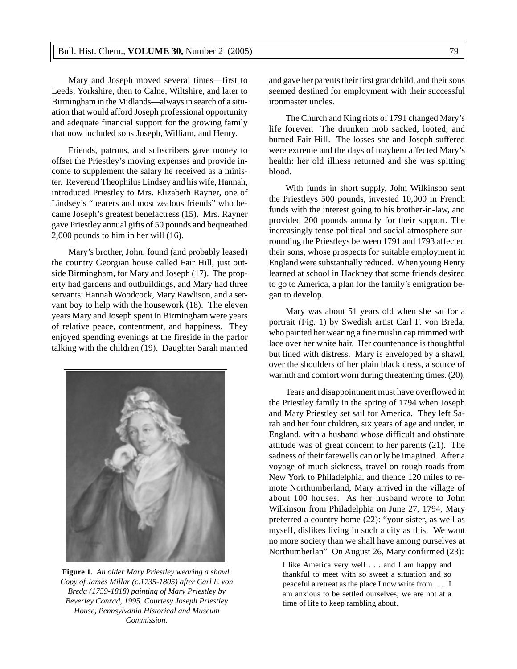Mary and Joseph moved several times—first to Leeds, Yorkshire, then to Calne, Wiltshire, and later to Birmingham in the Midlands—always in search of a situation that would afford Joseph professional opportunity and adequate financial support for the growing family that now included sons Joseph, William, and Henry.

Friends, patrons, and subscribers gave money to offset the Priestley's moving expenses and provide income to supplement the salary he received as a minister. Reverend Theophilus Lindsey and his wife, Hannah, introduced Priestley to Mrs. Elizabeth Rayner, one of Lindsey's "hearers and most zealous friends" who became Joseph's greatest benefactress (15). Mrs. Rayner gave Priestley annual gifts of 50 pounds and bequeathed 2,000 pounds to him in her will (16).

Mary's brother, John, found (and probably leased) the country Georgian house called Fair Hill, just outside Birmingham, for Mary and Joseph (17). The property had gardens and outbuildings, and Mary had three servants: Hannah Woodcock, Mary Rawlison, and a servant boy to help with the housework (18). The eleven years Mary and Joseph spent in Birmingham were years of relative peace, contentment, and happiness. They enjoyed spending evenings at the fireside in the parlor talking with the children (19). Daughter Sarah married



**Figure 1.** *An older Mary Priestley wearing a shawl. Copy of James Millar (c.1735-1805) after Carl F. von Breda (1759-1818) painting of Mary Priestley by Beverley Conrad, 1995. Courtesy Joseph Priestley House, Pennsylvania Historical and Museum Commission.*

and gave her parents their first grandchild, and their sons seemed destined for employment with their successful ironmaster uncles.

The Church and King riots of 1791 changed Mary's life forever. The drunken mob sacked, looted, and burned Fair Hill. The losses she and Joseph suffered were extreme and the days of mayhem affected Mary's health: her old illness returned and she was spitting blood.

With funds in short supply, John Wilkinson sent the Priestleys 500 pounds, invested 10,000 in French funds with the interest going to his brother-in-law, and provided 200 pounds annually for their support. The increasingly tense political and social atmosphere surrounding the Priestleys between 1791 and 1793 affected their sons, whose prospects for suitable employment in England were substantially reduced. When young Henry learned at school in Hackney that some friends desired to go to America, a plan for the family's emigration began to develop.

Mary was about 51 years old when she sat for a portrait (Fig. 1) by Swedish artist Carl F. von Breda, who painted her wearing a fine muslin cap trimmed with lace over her white hair. Her countenance is thoughtful but lined with distress. Mary is enveloped by a shawl, over the shoulders of her plain black dress, a source of warmth and comfort worn during threatening times. (20).

Tears and disappointment must have overflowed in the Priestley family in the spring of 1794 when Joseph and Mary Priestley set sail for America. They left Sarah and her four children, six years of age and under, in England, with a husband whose difficult and obstinate attitude was of great concern to her parents (21). The sadness of their farewells can only be imagined. After a voyage of much sickness, travel on rough roads from New York to Philadelphia, and thence 120 miles to remote Northumberland, Mary arrived in the village of about 100 houses. As her husband wrote to John Wilkinson from Philadelphia on June 27, 1794, Mary preferred a country home (22): "your sister, as well as myself, dislikes living in such a city as this. We want no more society than we shall have among ourselves at Northumberlan" On August 26, Mary confirmed (23):

I like America very well . . . and I am happy and thankful to meet with so sweet a situation and so peaceful a retreat as the place I now write from . . .. I am anxious to be settled ourselves, we are not at a time of life to keep rambling about.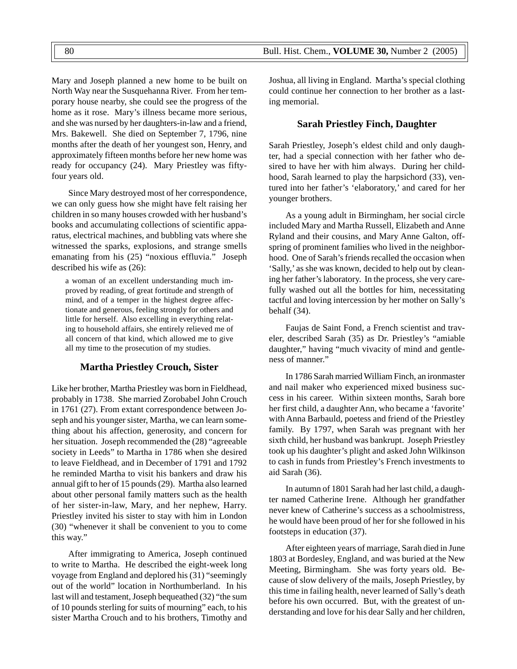Mary and Joseph planned a new home to be built on North Way near the Susquehanna River. From her temporary house nearby, she could see the progress of the home as it rose. Mary's illness became more serious, and she was nursed by her daughters-in-law and a friend, Mrs. Bakewell. She died on September 7, 1796, nine months after the death of her youngest son, Henry, and approximately fifteen months before her new home was ready for occupancy (24). Mary Priestley was fiftyfour years old.

Since Mary destroyed most of her correspondence, we can only guess how she might have felt raising her children in so many houses crowded with her husband's books and accumulating collections of scientific apparatus, electrical machines, and bubbling vats where she witnessed the sparks, explosions, and strange smells emanating from his (25) "noxious effluvia." Joseph described his wife as (26):

a woman of an excellent understanding much improved by reading, of great fortitude and strength of mind, and of a temper in the highest degree affectionate and generous, feeling strongly for others and little for herself. Also excelling in everything relating to household affairs, she entirely relieved me of all concern of that kind, which allowed me to give all my time to the prosecution of my studies.

# **Martha Priestley Crouch, Sister**

Like her brother, Martha Priestley was born in Fieldhead, probably in 1738. She married Zorobabel John Crouch in 1761 (27). From extant correspondence between Joseph and his younger sister, Martha, we can learn something about his affection, generosity, and concern for her situation. Joseph recommended the (28) "agreeable society in Leeds" to Martha in 1786 when she desired to leave Fieldhead, and in December of 1791 and 1792 he reminded Martha to visit his bankers and draw his annual gift to her of 15 pounds (29). Martha also learned about other personal family matters such as the health of her sister-in-law, Mary, and her nephew, Harry. Priestley invited his sister to stay with him in London (30) "whenever it shall be convenient to you to come this way."

After immigrating to America, Joseph continued to write to Martha. He described the eight-week long voyage from England and deplored his (31) "seemingly out of the world" location in Northumberland. In his last will and testament, Joseph bequeathed (32) "the sum of 10 pounds sterling for suits of mourning" each, to his sister Martha Crouch and to his brothers, Timothy and

Joshua, all living in England. Martha's special clothing could continue her connection to her brother as a lasting memorial.

# **Sarah Priestley Finch, Daughter**

Sarah Priestley, Joseph's eldest child and only daughter, had a special connection with her father who desired to have her with him always. During her childhood, Sarah learned to play the harpsichord (33), ventured into her father's 'elaboratory,' and cared for her younger brothers.

As a young adult in Birmingham, her social circle included Mary and Martha Russell, Elizabeth and Anne Ryland and their cousins, and Mary Anne Galton, offspring of prominent families who lived in the neighborhood. One of Sarah's friends recalled the occasion when 'Sally,' as she was known, decided to help out by cleaning her father's laboratory. In the process, she very carefully washed out all the bottles for him, necessitating tactful and loving intercession by her mother on Sally's behalf (34).

Faujas de Saint Fond, a French scientist and traveler, described Sarah (35) as Dr. Priestley's "amiable daughter," having "much vivacity of mind and gentleness of manner."

In 1786 Sarah married William Finch, an ironmaster and nail maker who experienced mixed business success in his career. Within sixteen months, Sarah bore her first child, a daughter Ann, who became a 'favorite' with Anna Barbauld, poetess and friend of the Priestley family. By 1797, when Sarah was pregnant with her sixth child, her husband was bankrupt. Joseph Priestley took up his daughter's plight and asked John Wilkinson to cash in funds from Priestley's French investments to aid Sarah (36).

In autumn of 1801 Sarah had her last child, a daughter named Catherine Irene. Although her grandfather never knew of Catherine's success as a schoolmistress, he would have been proud of her for she followed in his footsteps in education (37).

After eighteen years of marriage, Sarah died in June 1803 at Bordesley, England, and was buried at the New Meeting, Birmingham. She was forty years old. Because of slow delivery of the mails, Joseph Priestley, by this time in failing health, never learned of Sally's death before his own occurred. But, with the greatest of understanding and love for his dear Sally and her children,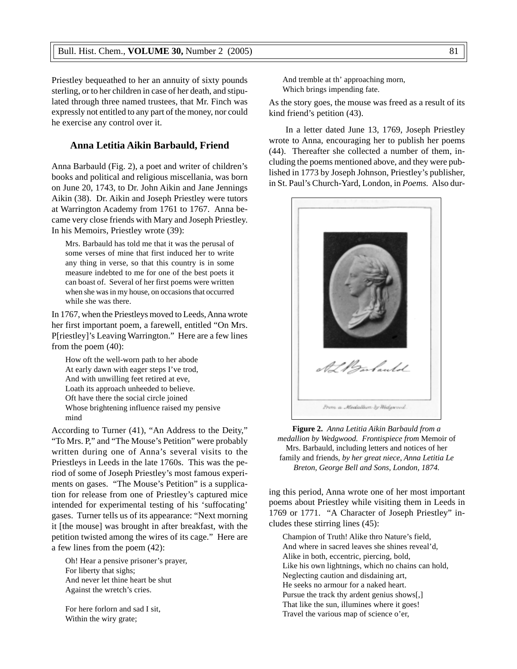Priestley bequeathed to her an annuity of sixty pounds sterling, or to her children in case of her death, and stipulated through three named trustees, that Mr. Finch was expressly not entitled to any part of the money, nor could he exercise any control over it.

# **Anna Letitia Aikin Barbauld, Friend**

Anna Barbauld (Fig. 2), a poet and writer of children's books and political and religious miscellania, was born on June 20, 1743, to Dr. John Aikin and Jane Jennings Aikin (38). Dr. Aikin and Joseph Priestley were tutors at Warrington Academy from 1761 to 1767. Anna became very close friends with Mary and Joseph Priestley. In his Memoirs, Priestley wrote (39):

Mrs. Barbauld has told me that it was the perusal of some verses of mine that first induced her to write any thing in verse, so that this country is in some measure indebted to me for one of the best poets it can boast of. Several of her first poems were written when she was in my house, on occasions that occurred while she was there.

In 1767, when the Priestleys moved to Leeds, Anna wrote her first important poem, a farewell, entitled "On Mrs. P[riestley]'s Leaving Warrington." Here are a few lines from the poem (40):

How oft the well-worn path to her abode At early dawn with eager steps I've trod, And with unwilling feet retired at eve, Loath its approach unheeded to believe. Oft have there the social circle joined Whose brightening influence raised my pensive mind

According to Turner (41), "An Address to the Deity," "To Mrs. P," and "The Mouse's Petition" were probably written during one of Anna's several visits to the Priestleys in Leeds in the late 1760s. This was the period of some of Joseph Priestley's most famous experiments on gases. "The Mouse's Petition" is a supplication for release from one of Priestley's captured mice intended for experimental testing of his 'suffocating' gases. Turner tells us of its appearance: "Next morning it [the mouse] was brought in after breakfast, with the petition twisted among the wires of its cage." Here are a few lines from the poem (42):

Oh! Hear a pensive prisoner's prayer, For liberty that sighs; And never let thine heart be shut Against the wretch's cries.

For here forlorn and sad I sit, Within the wiry grate;

And tremble at th' approaching morn, Which brings impending fate.

As the story goes, the mouse was freed as a result of its kind friend's petition (43).

In a letter dated June 13, 1769, Joseph Priestley wrote to Anna, encouraging her to publish her poems (44). Thereafter she collected a number of them, including the poems mentioned above, and they were published in 1773 by Joseph Johnson, Priestley's publisher, in St. Paul's Church-Yard, London, in *Poems.* Also dur-



**Figure 2.** *Anna Letitia Aikin Barbauld from a medallion by Wedgwood. Frontispiece from* Memoir of Mrs. Barbauld, including letters and notices of her family and friends*, by her great niece, Anna Letitia Le Breton, George Bell and Sons, London, 1874.*

ing this period, Anna wrote one of her most important poems about Priestley while visiting them in Leeds in 1769 or 1771. "A Character of Joseph Priestley" includes these stirring lines (45):

Champion of Truth! Alike thro Nature's field, And where in sacred leaves she shines reveal'd, Alike in both, eccentric, piercing, bold, Like his own lightnings, which no chains can hold, Neglecting caution and disdaining art, He seeks no armour for a naked heart. Pursue the track thy ardent genius shows[,] That like the sun, illumines where it goes! Travel the various map of science o'er,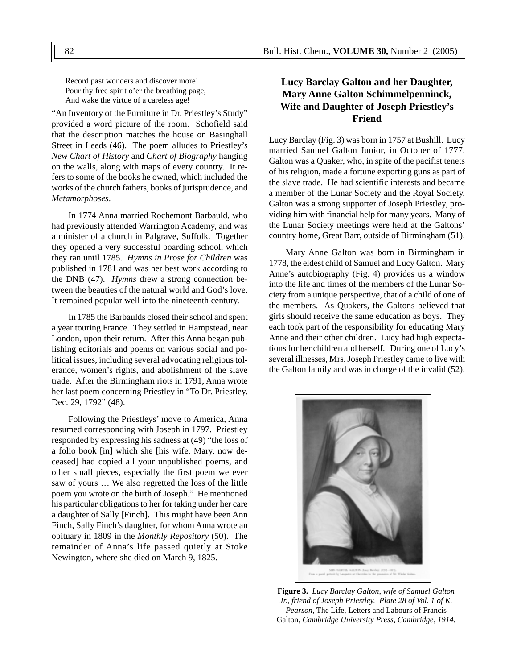Record past wonders and discover more! Pour thy free spirit o'er the breathing page, And wake the virtue of a careless age!

"An Inventory of the Furniture in Dr. Priestley's Study" provided a word picture of the room. Schofield said that the description matches the house on Basinghall Street in Leeds (46). The poem alludes to Priestley's *New Chart of History* and *Chart of Biography* hanging on the walls, along with maps of every country. It refers to some of the books he owned, which included the works of the church fathers, books of jurisprudence, and *Metamorphoses*.

In 1774 Anna married Rochemont Barbauld, who had previously attended Warrington Academy, and was a minister of a church in Palgrave, Suffolk. Together they opened a very successful boarding school, which they ran until 1785. *Hymns in Prose for Children* was published in 1781 and was her best work according to the DNB (47). *Hymns* drew a strong connection between the beauties of the natural world and God's love. It remained popular well into the nineteenth century.

In 1785 the Barbaulds closed their school and spent a year touring France. They settled in Hampstead, near London, upon their return. After this Anna began publishing editorials and poems on various social and political issues, including several advocating religious tolerance, women's rights, and abolishment of the slave trade. After the Birmingham riots in 1791, Anna wrote her last poem concerning Priestley in "To Dr. Priestley. Dec. 29, 1792" (48).

Following the Priestleys' move to America, Anna resumed corresponding with Joseph in 1797. Priestley responded by expressing his sadness at (49) "the loss of a folio book [in] which she [his wife, Mary, now deceased] had copied all your unpublished poems, and other small pieces, especially the first poem we ever saw of yours … We also regretted the loss of the little poem you wrote on the birth of Joseph." He mentioned his particular obligations to her for taking under her care a daughter of Sally [Finch]. This might have been Ann Finch, Sally Finch's daughter, for whom Anna wrote an obituary in 1809 in the *Monthly Repository* (50). The remainder of Anna's life passed quietly at Stoke Newington, where she died on March 9, 1825.

# **Lucy Barclay Galton and her Daughter, Mary Anne Galton Schimmelpenninck, Wife and Daughter of Joseph Priestley's Friend**

Lucy Barclay (Fig. 3) was born in 1757 at Bushill. Lucy married Samuel Galton Junior, in October of 1777. Galton was a Quaker, who, in spite of the pacifist tenets of his religion, made a fortune exporting guns as part of the slave trade. He had scientific interests and became a member of the Lunar Society and the Royal Society. Galton was a strong supporter of Joseph Priestley, providing him with financial help for many years. Many of the Lunar Society meetings were held at the Galtons' country home, Great Barr, outside of Birmingham (51).

Mary Anne Galton was born in Birmingham in 1778, the eldest child of Samuel and Lucy Galton. Mary Anne's autobiography (Fig. 4) provides us a window into the life and times of the members of the Lunar Society from a unique perspective, that of a child of one of the members. As Quakers, the Galtons believed that girls should receive the same education as boys. They each took part of the responsibility for educating Mary Anne and their other children. Lucy had high expectations for her children and herself. During one of Lucy's several illnesses, Mrs. Joseph Priestley came to live with the Galton family and was in charge of the invalid (52).



**Figure 3.** *Lucy Barclay Galton, wife of Samuel Galton Jr., friend of Joseph Priestley. Plate 28 of Vol. 1 of K. Pearson,* The Life, Letters and Labours of Francis Galton, *Cambridge University Press, Cambridge, 1914.*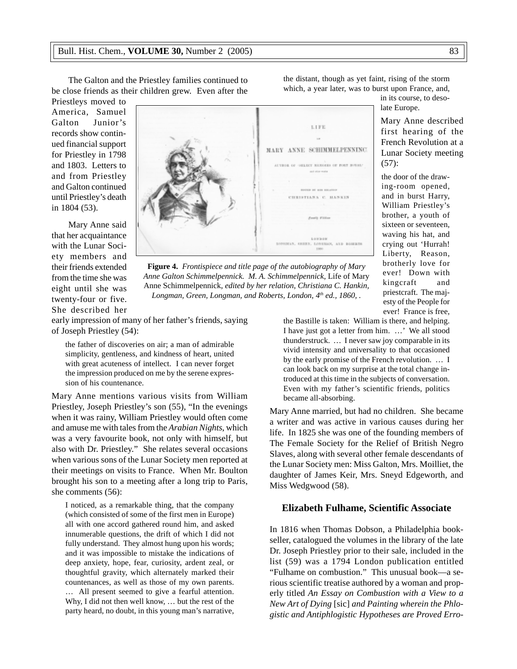The Galton and the Priestley families continued to be close friends as their children grew. Even after the

Priestleys moved to America, Samuel Galton Junior's records show continued financial support for Priestley in 1798 and 1803. Letters to and from Priestley and Galton continued until Priestley's death in 1804 (53).

Mary Anne said that her acquaintance with the Lunar Society members and their friends extended from the time she was eight until she was twenty-four or five. She described her



**Figure 4.** *Frontispiece and title page of the autobiography of Mary Anne Galton Schimmelpennick. M. A. Schimmelpennick,* Life of Mary Anne Schimmelpennick, *edited by her relation*, *Christiana C. Hankin, Longman, Green, Longman, and Roberts, London, 4th ed., 1860, .*

early impression of many of her father's friends, saying of Joseph Priestley (54):

the father of discoveries on air; a man of admirable simplicity, gentleness, and kindness of heart, united with great acuteness of intellect. I can never forget the impression produced on me by the serene expression of his countenance.

Mary Anne mentions various visits from William Priestley, Joseph Priestley's son (55), "In the evenings when it was rainy, William Priestley would often come and amuse me with tales from the *Arabian Nights*, which was a very favourite book, not only with himself, but also with Dr. Priestley." She relates several occasions when various sons of the Lunar Society men reported at their meetings on visits to France. When Mr. Boulton brought his son to a meeting after a long trip to Paris, she comments (56):

I noticed, as a remarkable thing, that the company (which consisted of some of the first men in Europe) all with one accord gathered round him, and asked innumerable questions, the drift of which I did not fully understand. They almost hung upon his words; and it was impossible to mistake the indications of deep anxiety, hope, fear, curiosity, ardent zeal, or thoughtful gravity, which alternately marked their countenances, as well as those of my own parents. … All present seemed to give a fearful attention. Why, I did not then well know, … but the rest of the party heard, no doubt, in this young man's narrative,

the distant, though as yet faint, rising of the storm which, a year later, was to burst upon France, and,

in its course, to desolate Europe.

Mary Anne described first hearing of the French Revolution at a Lunar Society meeting (57):

the door of the drawing-room opened, and in burst Harry, William Priestley's brother, a youth of sixteen or seventeen, waving his hat, and crying out 'Hurrah! Liberty, Reason, brotherly love for ever! Down with kingcraft and priestcraft. The majesty of the People for ever! France is free,

the Bastille is taken: William is there, and helping. I have just got a letter from him. …' We all stood thunderstruck. … I never saw joy comparable in its vivid intensity and universality to that occasioned by the early promise of the French revolution. … I can look back on my surprise at the total change introduced at this time in the subjects of conversation. Even with my father's scientific friends, politics became all-absorbing.

Mary Anne married, but had no children. She became a writer and was active in various causes during her life. In 1825 she was one of the founding members of The Female Society for the Relief of British Negro Slaves, along with several other female descendants of the Lunar Society men: Miss Galton, Mrs. Moilliet, the daughter of James Keir, Mrs. Sneyd Edgeworth, and Miss Wedgwood (58).

#### **Elizabeth Fulhame, Scientific Associate**

In 1816 when Thomas Dobson, a Philadelphia bookseller, catalogued the volumes in the library of the late Dr. Joseph Priestley prior to their sale, included in the list (59) was a 1794 London publication entitled "Fulhame on combustion." This unusual book—a serious scientific treatise authored by a woman and properly titled *An Essay on Combustion with a View to a New Art of Dying* [sic] *and Painting wherein the Phlogistic and Antiphlogistic Hypotheses are Proved Erro-*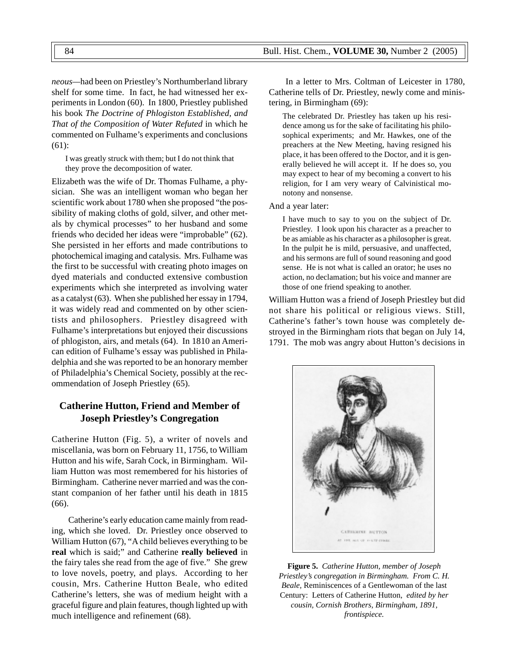*neous—*had been on Priestley's Northumberland library shelf for some time. In fact, he had witnessed her experiments in London (60). In 1800, Priestley published his book *The Doctrine of Phlogiston Established, and That of the Composition of Water Refuted* in which he commented on Fulhame's experiments and conclusions (61):

I was greatly struck with them; but I do not think that they prove the decomposition of water.

Elizabeth was the wife of Dr. Thomas Fulhame, a physician. She was an intelligent woman who began her scientific work about 1780 when she proposed "the possibility of making cloths of gold, silver, and other metals by chymical processes" to her husband and some friends who decided her ideas were "improbable" (62). She persisted in her efforts and made contributions to photochemical imaging and catalysis. Mrs. Fulhame was the first to be successful with creating photo images on dyed materials and conducted extensive combustion experiments which she interpreted as involving water as a catalyst (63). When she published her essay in 1794, it was widely read and commented on by other scientists and philosophers. Priestley disagreed with Fulhame's interpretations but enjoyed their discussions of phlogiston, airs, and metals (64). In 1810 an American edition of Fulhame's essay was published in Philadelphia and she was reported to be an honorary member of Philadelphia's Chemical Society, possibly at the recommendation of Joseph Priestley (65).

# **Catherine Hutton, Friend and Member of Joseph Priestley's Congregation**

Catherine Hutton (Fig. 5), a writer of novels and miscellania, was born on February 11, 1756, to William Hutton and his wife, Sarah Cock, in Birmingham. William Hutton was most remembered for his histories of Birmingham. Catherine never married and was the constant companion of her father until his death in 1815 (66).

Catherine's early education came mainly from reading, which she loved. Dr. Priestley once observed to William Hutton (67), "A child believes everything to be **real** which is said;" and Catherine **really believed** in the fairy tales she read from the age of five." She grew to love novels, poetry, and plays. According to her cousin, Mrs. Catherine Hutton Beale, who edited Catherine's letters, she was of medium height with a graceful figure and plain features, though lighted up with much intelligence and refinement (68).

In a letter to Mrs. Coltman of Leicester in 1780, Catherine tells of Dr. Priestley, newly come and ministering, in Birmingham (69):

The celebrated Dr. Priestley has taken up his residence among us for the sake of facilitating his philosophical experiments; and Mr. Hawkes, one of the preachers at the New Meeting, having resigned his place, it has been offered to the Doctor, and it is generally believed he will accept it. If he does so, you may expect to hear of my becoming a convert to his religion, for I am very weary of Calvinistical monotony and nonsense.

#### And a year later:

I have much to say to you on the subject of Dr. Priestley. I look upon his character as a preacher to be as amiable as his character as a philosopher is great. In the pulpit he is mild, persuasive, and unaffected, and his sermons are full of sound reasoning and good sense. He is not what is called an orator; he uses no action, no declamation; but his voice and manner are those of one friend speaking to another.

William Hutton was a friend of Joseph Priestley but did not share his political or religious views. Still, Catherine's father's town house was completely destroyed in the Birmingham riots that began on July 14, 1791. The mob was angry about Hutton's decisions in



**Figure 5.** *Catherine Hutton, member of Joseph Priestley's congregation in Birmingham. From C. H. Beale,* Reminiscences of a Gentlewoman of the last Century: Letters of Catherine Hutton, *edited by her cousin, Cornish Brothers, Birmingham, 1891, frontispiece.*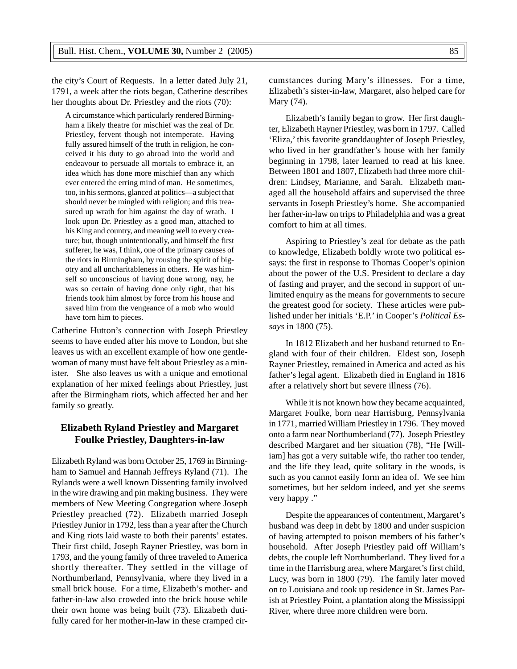the city's Court of Requests. In a letter dated July 21, 1791, a week after the riots began, Catherine describes her thoughts about Dr. Priestley and the riots (70):

A circumstance which particularly rendered Birmingham a likely theatre for mischief was the zeal of Dr. Priestley, fervent though not intemperate. Having fully assured himself of the truth in religion, he conceived it his duty to go abroad into the world and endeavour to persuade all mortals to embrace it, an idea which has done more mischief than any which ever entered the erring mind of man. He sometimes, too, in his sermons, glanced at politics—a subject that should never be mingled with religion; and this treasured up wrath for him against the day of wrath. I look upon Dr. Priestley as a good man, attached to his King and country, and meaning well to every creature; but, though unintentionally, and himself the first sufferer, he was, I think, one of the primary causes of the riots in Birmingham, by rousing the spirit of bigotry and all uncharitableness in others. He was himself so unconscious of having done wrong, nay, he was so certain of having done only right, that his friends took him almost by force from his house and saved him from the vengeance of a mob who would have torn him to pieces.

Catherine Hutton's connection with Joseph Priestley seems to have ended after his move to London, but she leaves us with an excellent example of how one gentlewoman of many must have felt about Priestley as a minister. She also leaves us with a unique and emotional explanation of her mixed feelings about Priestley, just after the Birmingham riots, which affected her and her family so greatly.

# **Elizabeth Ryland Priestley and Margaret Foulke Priestley, Daughters-in-law**

Elizabeth Ryland was born October 25, 1769 in Birmingham to Samuel and Hannah Jeffreys Ryland (71). The Rylands were a well known Dissenting family involved in the wire drawing and pin making business. They were members of New Meeting Congregation where Joseph Priestley preached (72). Elizabeth married Joseph Priestley Junior in 1792, less than a year after the Church and King riots laid waste to both their parents' estates. Their first child, Joseph Rayner Priestley, was born in 1793, and the young family of three traveled to America shortly thereafter. They settled in the village of Northumberland, Pennsylvania, where they lived in a small brick house. For a time, Elizabeth's mother- and father-in-law also crowded into the brick house while their own home was being built (73). Elizabeth dutifully cared for her mother-in-law in these cramped circumstances during Mary's illnesses. For a time, Elizabeth's sister-in-law, Margaret, also helped care for Mary (74).

Elizabeth's family began to grow. Her first daughter, Elizabeth Rayner Priestley, was born in 1797. Called 'Eliza,' this favorite granddaughter of Joseph Priestley, who lived in her grandfather's house with her family beginning in 1798, later learned to read at his knee. Between 1801 and 1807, Elizabeth had three more children: Lindsey, Marianne, and Sarah. Elizabeth managed all the household affairs and supervised the three servants in Joseph Priestley's home. She accompanied her father-in-law on trips to Philadelphia and was a great comfort to him at all times.

Aspiring to Priestley's zeal for debate as the path to knowledge, Elizabeth boldly wrote two political essays: the first in response to Thomas Cooper's opinion about the power of the U.S. President to declare a day of fasting and prayer, and the second in support of unlimited enquiry as the means for governments to secure the greatest good for society. These articles were published under her initials 'E.P.' in Cooper's *Political Essays* in 1800 (75).

In 1812 Elizabeth and her husband returned to England with four of their children. Eldest son, Joseph Rayner Priestley, remained in America and acted as his father's legal agent. Elizabeth died in England in 1816 after a relatively short but severe illness (76).

While it is not known how they became acquainted, Margaret Foulke, born near Harrisburg, Pennsylvania in 1771, married William Priestley in 1796. They moved onto a farm near Northumberland (77). Joseph Priestley described Margaret and her situation (78), "He [William] has got a very suitable wife, tho rather too tender, and the life they lead, quite solitary in the woods, is such as you cannot easily form an idea of. We see him sometimes, but her seldom indeed, and yet she seems very happy ."

Despite the appearances of contentment, Margaret's husband was deep in debt by 1800 and under suspicion of having attempted to poison members of his father's household. After Joseph Priestley paid off William's debts, the couple left Northumberland. They lived for a time in the Harrisburg area, where Margaret's first child, Lucy, was born in 1800 (79). The family later moved on to Louisiana and took up residence in St. James Parish at Priestley Point, a plantation along the Mississippi River, where three more children were born.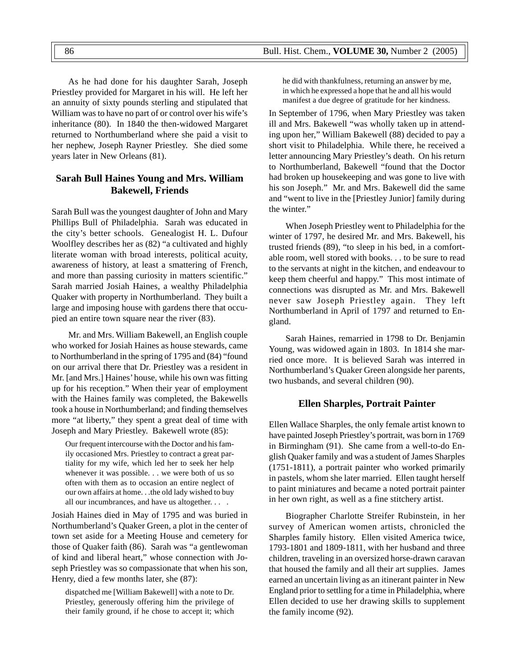As he had done for his daughter Sarah, Joseph Priestley provided for Margaret in his will. He left her an annuity of sixty pounds sterling and stipulated that William was to have no part of or control over his wife's inheritance (80). In 1840 the then-widowed Margaret returned to Northumberland where she paid a visit to her nephew, Joseph Rayner Priestley. She died some years later in New Orleans (81).

# **Sarah Bull Haines Young and Mrs. William Bakewell, Friends**

Sarah Bull was the youngest daughter of John and Mary Phillips Bull of Philadelphia. Sarah was educated in the city's better schools. Genealogist H. L. Dufour Woolfley describes her as (82) "a cultivated and highly literate woman with broad interests, political acuity, awareness of history, at least a smattering of French, and more than passing curiosity in matters scientific." Sarah married Josiah Haines, a wealthy Philadelphia Quaker with property in Northumberland. They built a large and imposing house with gardens there that occupied an entire town square near the river (83).

Mr. and Mrs. William Bakewell, an English couple who worked for Josiah Haines as house stewards, came to Northumberland in the spring of 1795 and (84) "found on our arrival there that Dr. Priestley was a resident in Mr. [and Mrs.] Haines' house, while his own was fitting up for his reception." When their year of employment with the Haines family was completed, the Bakewells took a house in Northumberland; and finding themselves more "at liberty," they spent a great deal of time with Joseph and Mary Priestley. Bakewell wrote (85):

Our frequent intercourse with the Doctor and his family occasioned Mrs. Priestley to contract a great partiality for my wife, which led her to seek her help whenever it was possible. . . we were both of us so often with them as to occasion an entire neglect of our own affairs at home. . .the old lady wished to buy all our incumbrances, and have us altogether. . . .

Josiah Haines died in May of 1795 and was buried in Northumberland's Quaker Green, a plot in the center of town set aside for a Meeting House and cemetery for those of Quaker faith (86). Sarah was "a gentlewoman of kind and liberal heart," whose connection with Joseph Priestley was so compassionate that when his son, Henry, died a few months later, she (87):

dispatched me [William Bakewell] with a note to Dr. Priestley, generously offering him the privilege of their family ground, if he chose to accept it; which he did with thankfulness, returning an answer by me, in which he expressed a hope that he and all his would manifest a due degree of gratitude for her kindness.

In September of 1796, when Mary Priestley was taken ill and Mrs. Bakewell "was wholly taken up in attending upon her," William Bakewell (88) decided to pay a short visit to Philadelphia. While there, he received a letter announcing Mary Priestley's death. On his return to Northumberland, Bakewell "found that the Doctor had broken up housekeeping and was gone to live with his son Joseph." Mr. and Mrs. Bakewell did the same and "went to live in the [Priestley Junior] family during the winter."

When Joseph Priestley went to Philadelphia for the winter of 1797, he desired Mr. and Mrs. Bakewell, his trusted friends (89), "to sleep in his bed, in a comfortable room, well stored with books. . . to be sure to read to the servants at night in the kitchen, and endeavour to keep them cheerful and happy." This most intimate of connections was disrupted as Mr. and Mrs. Bakewell never saw Joseph Priestley again. They left Northumberland in April of 1797 and returned to England.

Sarah Haines, remarried in 1798 to Dr. Benjamin Young, was widowed again in 1803. In 1814 she married once more. It is believed Sarah was interred in Northumberland's Quaker Green alongside her parents, two husbands, and several children (90).

## **Ellen Sharples, Portrait Painter**

Ellen Wallace Sharples, the only female artist known to have painted Joseph Priestley's portrait, was born in 1769 in Birmingham (91). She came from a well-to-do English Quaker family and was a student of James Sharples (1751-1811), a portrait painter who worked primarily in pastels, whom she later married. Ellen taught herself to paint miniatures and became a noted portrait painter in her own right, as well as a fine stitchery artist.

Biographer Charlotte Streifer Rubinstein, in her survey of American women artists, chronicled the Sharples family history. Ellen visited America twice, 1793-1801 and 1809-1811, with her husband and three children, traveling in an oversized horse-drawn caravan that housed the family and all their art supplies. James earned an uncertain living as an itinerant painter in New England prior to settling for a time in Philadelphia, where Ellen decided to use her drawing skills to supplement the family income (92).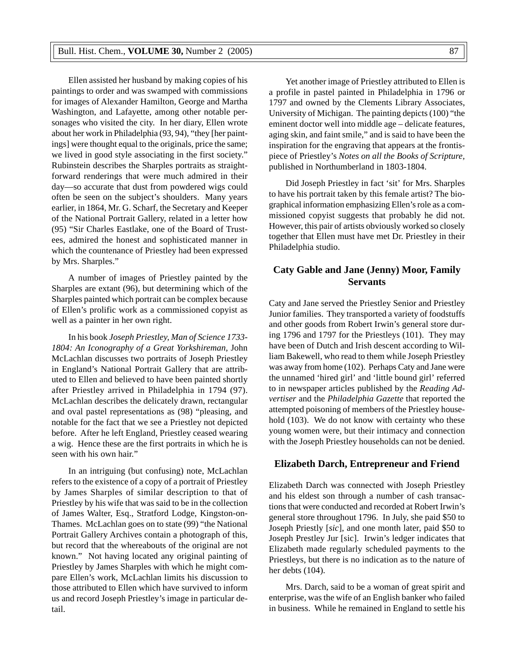Ellen assisted her husband by making copies of his paintings to order and was swamped with commissions for images of Alexander Hamilton, George and Martha Washington, and Lafayette, among other notable personages who visited the city. In her diary, Ellen wrote about her work in Philadelphia (93, 94), "they [her paintings] were thought equal to the originals, price the same; we lived in good style associating in the first society." Rubinstein describes the Sharples portraits as straightforward renderings that were much admired in their day—so accurate that dust from powdered wigs could often be seen on the subject's shoulders. Many years earlier, in 1864, Mr. G. Scharf, the Secretary and Keeper of the National Portrait Gallery, related in a letter how (95) "Sir Charles Eastlake, one of the Board of Trustees, admired the honest and sophisticated manner in which the countenance of Priestley had been expressed by Mrs. Sharples."

A number of images of Priestley painted by the Sharples are extant (96), but determining which of the Sharples painted which portrait can be complex because of Ellen's prolific work as a commissioned copyist as well as a painter in her own right.

In his book *Joseph Priestley, Man of Science 1733- 1804: An Iconography of a Great Yorkshireman,* John McLachlan discusses two portraits of Joseph Priestley in England's National Portrait Gallery that are attributed to Ellen and believed to have been painted shortly after Priestley arrived in Philadelphia in 1794 (97). McLachlan describes the delicately drawn, rectangular and oval pastel representations as (98) "pleasing, and notable for the fact that we see a Priestley not depicted before. After he left England, Priestley ceased wearing a wig. Hence these are the first portraits in which he is seen with his own hair."

In an intriguing (but confusing) note, McLachlan refers to the existence of a copy of a portrait of Priestley by James Sharples of similar description to that of Priestley by his wife that was said to be in the collection of James Walter, Esq., Stratford Lodge, Kingston-on-Thames. McLachlan goes on to state (99) "the National Portrait Gallery Archives contain a photograph of this, but record that the whereabouts of the original are not known." Not having located any original painting of Priestley by James Sharples with which he might compare Ellen's work, McLachlan limits his discussion to those attributed to Ellen which have survived to inform us and record Joseph Priestley's image in particular detail.

Yet another image of Priestley attributed to Ellen is a profile in pastel painted in Philadelphia in 1796 or 1797 and owned by the Clements Library Associates, University of Michigan. The painting depicts (100) "the eminent doctor well into middle age – delicate features, aging skin, and faint smile," and is said to have been the inspiration for the engraving that appears at the frontispiece of Priestley's *Notes on all the Books of Scripture,* published in Northumberland in 1803-1804.

Did Joseph Priestley in fact 'sit' for Mrs. Sharples to have his portrait taken by this female artist? The biographical information emphasizing Ellen's role as a commissioned copyist suggests that probably he did not. However, this pair of artists obviously worked so closely together that Ellen must have met Dr. Priestley in their Philadelphia studio.

# **Caty Gable and Jane (Jenny) Moor, Family Servants**

Caty and Jane served the Priestley Senior and Priestley Junior families. They transported a variety of foodstuffs and other goods from Robert Irwin's general store during 1796 and 1797 for the Priestleys (101). They may have been of Dutch and Irish descent according to William Bakewell, who read to them while Joseph Priestley was away from home (102). Perhaps Caty and Jane were the unnamed 'hired girl' and 'little bound girl' referred to in newspaper articles published by the *Reading Advertiser* and the *Philadelphia Gazette* that reported the attempted poisoning of members of the Priestley household (103). We do not know with certainty who these young women were, but their intimacy and connection with the Joseph Priestley households can not be denied.

## **Elizabeth Darch, Entrepreneur and Friend**

Elizabeth Darch was connected with Joseph Priestley and his eldest son through a number of cash transactions that were conducted and recorded at Robert Irwin's general store throughout 1796. In July, she paid \$50 to Joseph Priestly [*sic*], and one month later, paid \$50 to Joseph Prestley Jur [sic]. Irwin's ledger indicates that Elizabeth made regularly scheduled payments to the Priestleys, but there is no indication as to the nature of her debts (104).

Mrs. Darch, said to be a woman of great spirit and enterprise, was the wife of an English banker who failed in business. While he remained in England to settle his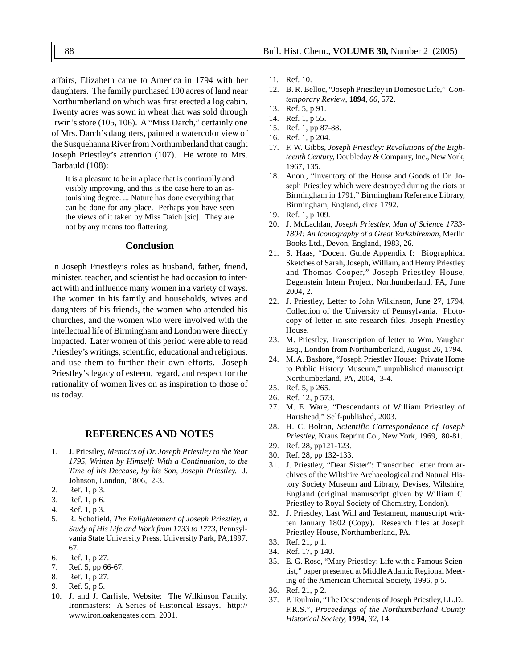affairs, Elizabeth came to America in 1794 with her daughters. The family purchased 100 acres of land near Northumberland on which was first erected a log cabin. Twenty acres was sown in wheat that was sold through Irwin's store (105, 106). A "Miss Darch," certainly one of Mrs. Darch's daughters, painted a watercolor view of the Susquehanna River from Northumberland that caught Joseph Priestley's attention (107). He wrote to Mrs. Barbauld (108):

It is a pleasure to be in a place that is continually and visibly improving, and this is the case here to an astonishing degree. ... Nature has done everything that can be done for any place. Perhaps you have seen the views of it taken by Miss Daich [sic]. They are not by any means too flattering.

# **Conclusion**

In Joseph Priestley's roles as husband, father, friend, minister, teacher, and scientist he had occasion to interact with and influence many women in a variety of ways. The women in his family and households, wives and daughters of his friends, the women who attended his churches, and the women who were involved with the intellectual life of Birmingham and London were directly impacted. Later women of this period were able to read Priestley's writings, scientific, educational and religious, and use them to further their own efforts. Joseph Priestley's legacy of esteem, regard, and respect for the rationality of women lives on as inspiration to those of us today.

## **REFERENCES AND NOTES**

- 1. J. Priestley, *Memoirs of Dr. Joseph Priestley to the Year 1795, Written by Himself: With a Continuation, to the Time of his Decease, by his Son, Joseph Priestley.* J. Johnson, London, 1806, 2-3.
- 2. Ref. 1, p 3.
- 3. Ref. 1, p 6.
- 4. Ref. 1, p 3.
- 5. R. Schofield, *The Enlightenment of Joseph Priestley, a Study of His Life and Work from 1733 to 1773,* Pennsylvania State University Press, University Park, PA,1997, 67.
- 6. Ref. 1, p 27.
- 7. Ref. 5, pp 66-67.
- 8. Ref. 1, p 27.
- 9. Ref. 5, p 5.
- 10. J. and J. Carlisle, Website: The Wilkinson Family, Ironmasters: A Series of Historical Essays. http:// www.iron.oakengates.com, 2001.
- 11. Ref. 10.
- 12. B. R. Belloc, "Joseph Priestley in Domestic Life," *Contemporary Review*, **1894**, *66*, 572.
- 13. Ref. 5, p 91.
- 14. Ref. 1, p 55.
- 15. Ref. 1, pp 87-88.
- 16. Ref. 1, p 204.
- 17. F. W. Gibbs, *Joseph Priestley: Revolutions of the Eighteenth Century,* Doubleday & Company, Inc., New York, 1967, 135.
- 18. Anon., "Inventory of the House and Goods of Dr. Joseph Priestley which were destroyed during the riots at Birmingham in 1791," Birmingham Reference Library, Birmingham, England, circa 1792.
- 19. Ref. 1, p 109.
- 20. J. McLachlan, *Joseph Priestley, Man of Science 1733- 1804: An Iconography of a Great Yorkshireman,* Merlin Books Ltd., Devon, England, 1983, 26.
- 21. S. Haas, "Docent Guide Appendix I: Biographical Sketches of Sarah, Joseph, William, and Henry Priestley and Thomas Cooper," Joseph Priestley House, Degenstein Intern Project, Northumberland, PA, June 2004, 2.
- 22. J. Priestley, Letter to John Wilkinson, June 27, 1794, Collection of the University of Pennsylvania. Photocopy of letter in site research files, Joseph Priestley House.
- 23. M. Priestley, Transcription of letter to Wm. Vaughan Esq., London from Northumberland, August 26, 1794.
- 24. M. A. Bashore, "Joseph Priestley House: Private Home to Public History Museum," unpublished manuscript, Northumberland, PA, 2004, 3-4.
- 25. Ref. 5, p 265.
- 26. Ref. 12, p 573.
- 27. M. E. Ware, "Descendants of William Priestley of Hartshead," Self-published, 2003.
- 28. H. C. Bolton, *Scientific Correspondence of Joseph Priestley,* Kraus Reprint Co., New York, 1969, 80-81.
- 29. Ref. 28, pp121-123.
- 30. Ref. 28, pp 132-133.
- 31. J. Priestley, "Dear Sister": Transcribed letter from archives of the Wiltshire Archaeological and Natural History Society Museum and Library, Devises, Wiltshire, England (original manuscript given by William C. Priestley to Royal Society of Chemistry, London).
- 32. J. Priestley, Last Will and Testament, manuscript written January 1802 (Copy). Research files at Joseph Priestley House, Northumberland, PA.
- 33. Ref. 21, p 1.
- 34. Ref. 17, p 140.
- 35. E. G. Rose, "Mary Priestley: Life with a Famous Scientist," paper presented at Middle Atlantic Regional Meeting of the American Chemical Society, 1996, p 5.
- 36. Ref. 21, p 2.
- 37. P. Toulmin, "The Descendents of Joseph Priestley, LL.D., F.R.S.", *Proceedings of the Northumberland County Historical Society,* **1994,** *32,* 14.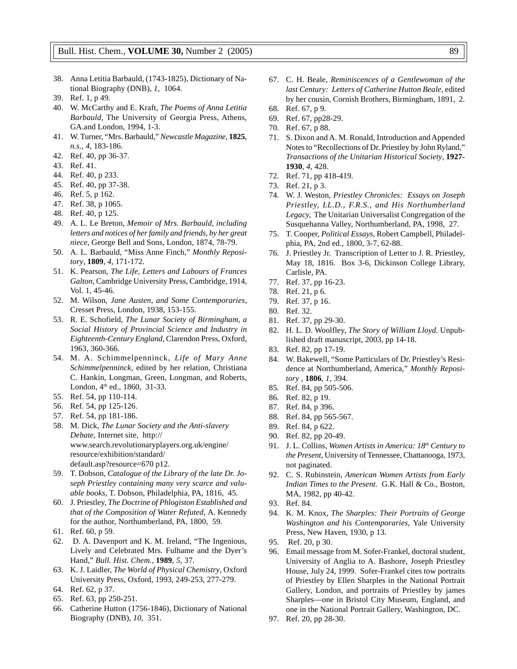- 38. Anna Letitia Barbauld*,* (1743-1825), Dictionary of National Biography (DNB), *1*, 1064.
- 39. Ref. 1, p 49.
- 40. W. McCarthy and E. Kraft*, The Poems of Anna Letitia Barbauld,* The University of Georgia Press, Athens, GA.and London, 1994, 1-3.
- 41. W. Turner, "Mrs. Barbauld," *Newcastle Magazine*, **1825**, *n.s., 4*, 183-186.
- 42. Ref. 40, pp 36-37.
- 43. Ref. 41.
- 44. Ref. 40, p 233.
- 45. Ref. 40, pp 37-38.
- 46. Ref. 5, p 162.
- 47. Ref. 38, p 1065.
- 48. Ref. 40, p 125.
- 49. A. L. Le Breton, *Memoir of Mrs. Barbauld, including letters and notices of her family and friends, by her great niece,* George Bell and Sons, London, 1874, 78-79.
- 50. A. L. Barbauld, "Miss Anne Finch," *Monthly Repository*, **1809**, *4*, 171-172.
- 51. K. Pearson, *The Life, Letters and Labours of Frances Galton,* Cambridge University Press, Cambridge, 1914, Vol. 1, 45-46.
- 52. M. Wilson, *Jane Austen, and Some Contemporaries,* Cresset Press, London, 1938, 153-155.
- 53. R. E. Schofield, *The Lunar Society of Birmingham, a Social History of Provincial Science and Industry in Eighteenth-Century England,* Clarendon Press, Oxford, 1963, 360-366.
- 54. M. A. Schimmelpenninck, *Life of Mary Anne Schimmelpenninck,* edited by her relation*,* Christiana C. Hankin, Longman, Green, Longman, and Roberts, London, 4<sup>th</sup> ed., 1860, 31-33.
- 55. Ref. 54, pp 110-114.
- 56. Ref. 54, pp 125-126.
- 57. Ref. 54, pp 181-186.
- 58. M. Dick, *The Lunar Society and the Anti-slavery Debate,* Internet site, http:// www.search.revolutionaryplayers.org.uk/engine/ resource/exhibition/standard/ default.asp?resource=670 p12.
- 59. T. Dobson, *Catalogue of the Library of the late Dr. Joseph Priestley containing many very scarce and valuable books*, T. Dobson, Philadelphia, PA, 1816, 45.
- 60. J. Priestley, *The Doctrine of Phlogiston Established and that of the Composition of Water Refuted,* A. Kennedy for the author, Northumberland, PA, 1800, 59.
- 61. Ref. 60, p 59.
- 62. D. A. Davenport and K. M. Ireland, "The Ingenious, Lively and Celebrated Mrs. Fulhame and the Dyer's Hand," *Bull. Hist. Chem.,* **1989**, *5,* 37.
- 63. K. J. Laidler, *The World of Physical Chemistry*, Oxford University Press, Oxford, 1993, 249-253, 277-279.
- 64. Ref. 62, p 37.
- 65. Ref. 63, pp 250-251.
- 66. Catherine Hutton (1756-1846), Dictionary of National Biography (DNB), *10*, 351.
- 67. C. H. Beale, *Reminiscences of a Gentlewoman of the last Century: Letters of Catherine Hutton Beale,* edited by her cousin, Cornish Brothers, Birmingham, 1891, 2.
- 68. Ref. 67, p 9.
- 69. Ref. 67, pp28-29.
- 70. Ref. 67, p 88.
- 71. S. Dixon and A. M. Ronald, Introduction and Appended Notes to "Recollections of Dr. Priestley by John Ryland," *Transactions of the Unitarian Historical Society*, **1927- 1930**, *4,* 428.
- 72. Ref. 71, pp 418-419.
- 73. Ref. 21, p 3.
- 74. W. J. Weston, *Priestley Chronicles: Essays on Joseph Priestley, LL.D., F.R.S., and His Northumberland Legacy,* The Unitarian Universalist Congregation of the Susquehanna Valley, Northumberland, PA, 1998, 27.
- 75. T. Cooper, *Political Essays,* Robert Campbell, Philadelphia, PA, 2nd ed., 1800, 3-7, 62-88.
- 76. J. Priestley Jr. Transcription of Letter to J. R. Priestley, May 18, 1816. Box 3-6, Dickinson College Library, Carlisle, PA.
- 77. Ref. 37, pp 16-23.
- 78. Ref. 21, p 6.
- 79. Ref. 37, p 16.
- 80. Ref. 32.
- 81. Ref. 37, pp 29-30.
- 82. H. L. D. Woolfley, *The Story of William Lloyd.* Unpublished draft manuscript, 2003, pp 14-18.
- 83. Ref. 82, pp 17-19.
- 84. W. Bakewell, "Some Particulars of Dr. Priestley's Residence at Northumberland, America," *Monthly Repository ,* **1806**, *1*, 394.
- 85. Ref. 84, pp 505-506.
- 86. Ref. 82, p 19.
- 87. Ref. 84, p 396.
- 88. Ref. 84, pp 565-567.
- 89. Ref. 84, p 622.
- 90. Ref. 82, pp 20-49.
- 91. J. L. Collins, *Women Artists in America: 18th Century to the Present,* University of Tennessee, Chattanooga, 1973, not paginated.
- 92. C. S. Rubinstein, *American Women Artists from Early Indian Times to the Present.* G.K. Hall & Co., Boston, MA, 1982, pp 40-42.
- 93. Ref. 84.
- 94. K. M. Knox, *The Sharples: Their Portraits of George Washington and his Contemporaries,* Yale University Press, New Haven, 1930, p 13.
- 95. Ref. 20, p 30.
- 96. Email message from M. Sofer-Frankel, doctoral student, University of Anglia to A. Bashore, Joseph Priestley House, July 24, 1999. Sofer-Frankel cites tow portraits of Priestley by Ellen Sharples in the National Portrait Gallery, London, and portraits of Priestley by james Sharples—one in Bristol City Museum, England, and one in the National Portrait Gallery, Washington, DC.
- 97. Ref. 20, pp 28-30.